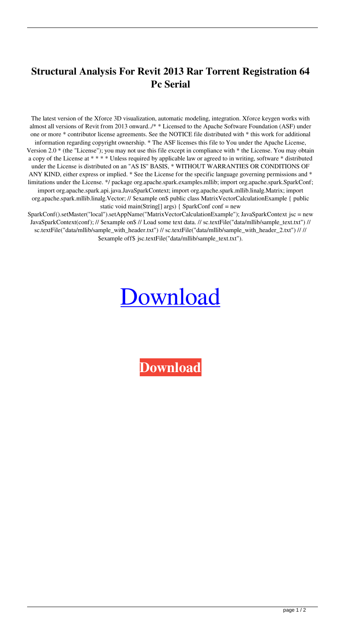## **Structural Analysis For Revit 2013 Rar Torrent Registration 64 Pc Serial**

The latest version of the Xforce 3D visualization, automatic modeling, integration. Xforce keygen works with almost all versions of Revit from 2013 onward../\* \* Licensed to the Apache Software Foundation (ASF) under one or more \* contributor license agreements. See the NOTICE file distributed with \* this work for additional information regarding copyright ownership. \* The ASF licenses this file to You under the Apache License, Version 2.0 \* (the "License"); you may not use this file except in compliance with \* the License. You may obtain a copy of the License at \* \* \* \* Unless required by applicable law or agreed to in writing, software \* distributed under the License is distributed on an "AS IS" BASIS, \* WITHOUT WARRANTIES OR CONDITIONS OF ANY KIND, either express or implied. \* See the License for the specific language governing permissions and \* limitations under the License. \*/ package org.apache.spark.examples.mllib; import org.apache.spark.SparkConf; import org.apache.spark.api.java.JavaSparkContext; import org.apache.spark.mllib.linalg.Matrix; import org.apache.spark.mllib.linalg.Vector; // \$example on\$ public class MatrixVectorCalculationExample { public static void main(String[] args) { SparkConf conf = new

SparkConf().setMaster("local").setAppName("MatrixVectorCalculationExample"); JavaSparkContext jsc = new JavaSparkContext(conf); // \$example on\$ // Load some text data. // sc.textFile("data/mllib/sample\_text.txt") // sc.textFile("data/mllib/sample\_with\_header.txt") // sc.textFile("data/mllib/sample\_with\_header\_2.txt") // // \$example off\$ jsc.textFile("data/mllib/sample\_text.txt").

## [Download](http://evacdir.com/eGZvcmNlIGtleWdlbiBTdHJ1Y3R1cmFsIEFuYWx5c2lzIGZvciBSZXZpdCAyMDEzIDMyIGJpdCBmcmVlIGRvd25sb2FkeGZ/endeavour/?lyme=soola&ZG93bmxvYWR8U0YzTWpkcE9IeDhNVFkxTWpjME1EZzJObng4TWpVM05IeDhLRTBwSUhKbFlXUXRZbXh2WnlCYlJtRnpkQ0JIUlU1ZA=novotel&preventatives=panjwani)

**[Download](http://evacdir.com/eGZvcmNlIGtleWdlbiBTdHJ1Y3R1cmFsIEFuYWx5c2lzIGZvciBSZXZpdCAyMDEzIDMyIGJpdCBmcmVlIGRvd25sb2FkeGZ/endeavour/?lyme=soola&ZG93bmxvYWR8U0YzTWpkcE9IeDhNVFkxTWpjME1EZzJObng4TWpVM05IeDhLRTBwSUhKbFlXUXRZbXh2WnlCYlJtRnpkQ0JIUlU1ZA=novotel&preventatives=panjwani)**